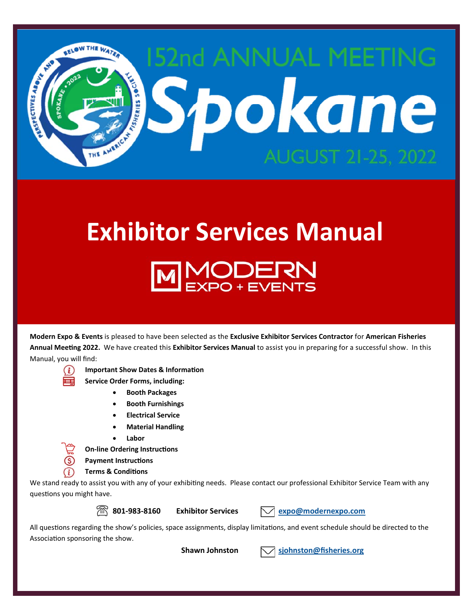

# **Exhibitor Services Manual**  MODERN<br>EXPO+EVENTS

**Modern Expo & Events** is pleased to have been selected as the **Exclusive Exhibitor Services Contractor** for **American Fisheries Annual MeeƟng 2022.** We have created this **Exhibitor Services Manual** to assist you in preparing for a successful show. In this Manual, you will find:



**IMPORTANT SHOW Dates & Information** 

 **Service Order Forms, including:** 

- **Booth Packages**
- **Booth Furnishings**
- **Electrical Service**
- **Material Handling**
- **Labor**

**On-line Ordering Instructions** 

**Payment Instructions** 

 **Terms & CondiƟons** 

We stand ready to assist you with any of your exhibiting needs. Please contact our professional Exhibitor Service Team with any questions you might have.

**801‐983‐8160 Exhibitor Services expo@modernexpo.com**

All questions regarding the show's policies, space assignments, display limitations, and event schedule should be directed to the Association sponsoring the show.

 **Shawn Johnston sjohnston@fisheries.org**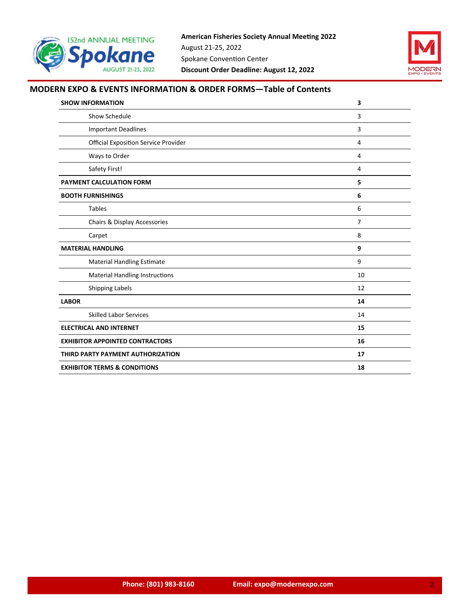



## **MODERN EXPO & EVENTS INFORMATION & ORDER FORMS—Table of Contents**

| <b>SHOW INFORMATION</b>                     | $\overline{\mathbf{3}}$ |
|---------------------------------------------|-------------------------|
| Show Schedule                               | 3                       |
| <b>Important Deadlines</b>                  | 3                       |
| <b>Official Exposition Service Provider</b> | 4                       |
| Ways to Order                               | 4                       |
| Safety First!                               | 4                       |
| PAYMENT CALCULATION FORM                    | 5                       |
| <b>BOOTH FURNISHINGS</b>                    | 6                       |
| <b>Tables</b>                               | 6                       |
| Chairs & Display Accessories                | $\overline{7}$          |
| Carpet                                      | 8                       |
| <b>MATERIAL HANDLING</b>                    | 9                       |
| <b>Material Handling Estimate</b>           | 9                       |
| <b>Material Handling Instructions</b>       | 10                      |
| Shipping Labels                             | 12                      |
| <b>LABOR</b>                                | 14                      |
| <b>Skilled Labor Services</b>               | 14                      |
| <b>ELECTRICAL AND INTERNET</b>              | 15                      |
| <b>EXHIBITOR APPOINTED CONTRACTORS</b>      | 16                      |
| THIRD PARTY PAYMENT AUTHORIZATION           | 17                      |
| <b>EXHIBITOR TERMS &amp; CONDITIONS</b>     | 18                      |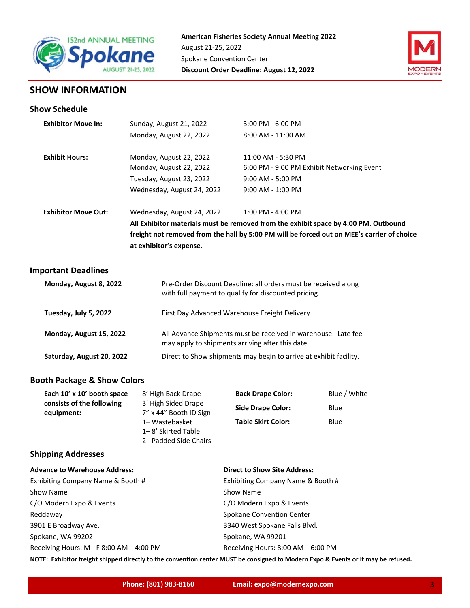



## **SHOW INFORMATION**

## **Show Schedule**

| <b>Exhibitor Move In:</b>  | Sunday, August 21, 2022    | 3:00 PM - 6:00 PM                                                                          |
|----------------------------|----------------------------|--------------------------------------------------------------------------------------------|
|                            | Monday, August 22, 2022    | $8:00$ AM - $11:00$ AM                                                                     |
| <b>Exhibit Hours:</b>      | Monday, August 22, 2022    | 11:00 AM - 5:30 PM                                                                         |
|                            | Monday, August 22, 2022    | 6:00 PM - 9:00 PM Exhibit Networking Event                                                 |
|                            |                            |                                                                                            |
|                            | Tuesday, August 23, 2022   | 9:00 AM - 5:00 PM                                                                          |
|                            | Wednesday, August 24, 2022 | $9:00$ AM - 1:00 PM                                                                        |
| <b>Exhibitor Move Out:</b> | Wednesday, August 24, 2022 | $1:00$ PM - $4:00$ PM                                                                      |
|                            |                            | All Exhibitor materials must be removed from the exhibit space by 4:00 PM. Outbound        |
|                            |                            | freight not removed from the hall by 5:00 PM will be forced out on MEE's carrier of choice |
|                            | at exhibitor's expense.    |                                                                                            |

## **Important Deadlines**

| Monday, August 8, 2022    | Pre-Order Discount Deadline: all orders must be received along<br>with full payment to qualify for discounted pricing. |
|---------------------------|------------------------------------------------------------------------------------------------------------------------|
| Tuesday, July 5, 2022     | First Day Advanced Warehouse Freight Delivery                                                                          |
| Monday, August 15, 2022   | All Advance Shipments must be received in warehouse. Late fee<br>may apply to shipments arriving after this date.      |
| Saturday, August 20, 2022 | Direct to Show shipments may begin to arrive at exhibit facility.                                                      |

## **Booth Package & Show Colors**

| Each 10' x 10' booth space              | 8' High Back Drape                            | <b>Back Drape Color:</b>  | Blue / White |
|-----------------------------------------|-----------------------------------------------|---------------------------|--------------|
| consists of the following<br>equipment: | 3' High Sided Drape<br>7" x 44" Booth ID Sign | <b>Side Drape Color:</b>  | <b>Blue</b>  |
|                                         | 1-Wastebasket<br>1–8' Skirted Table           | <b>Table Skirt Color:</b> | Blue         |
|                                         | 2– Padded Side Chairs                         |                           |              |

## **Shipping Addresses**

| <b>Advance to Warehouse Address:</b>   | <b>Direct to Show Site Address:</b> |
|----------------------------------------|-------------------------------------|
| Exhibiting Company Name & Booth #      | Exhibiting Company Name & Booth #   |
| Show Name                              | Show Name                           |
| C/O Modern Expo & Events               | C/O Modern Expo & Events            |
| Reddaway                               | Spokane Convention Center           |
| 3901 E Broadway Ave.                   | 3340 West Spokane Falls Blvd.       |
| Spokane, WA 99202                      | Spokane, WA 99201                   |
| Receiving Hours: M - F 8:00 AM-4:00 PM | Receiving Hours: 8:00 AM-6:00 PM    |

NOTE: Exhibitor freight shipped directly to the convention center MUST be consigned to Modern Expo & Events or it may be refused.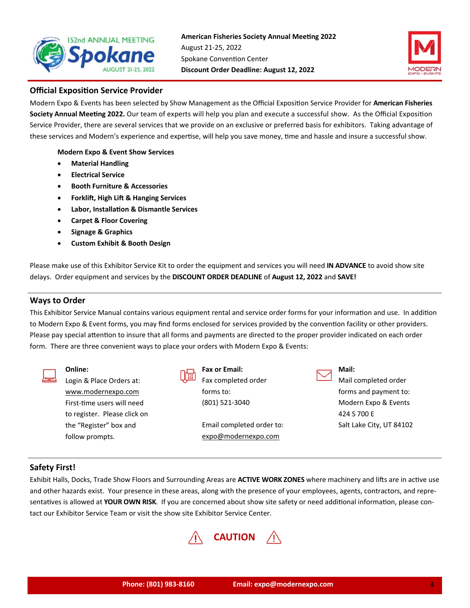



## **Official Exposition Service Provider**

Modern Expo & Events has been selected by Show Management as the Official Exposition Service Provider for **American Fisheries** Society Annual Meeting 2022. Our team of experts will help you plan and execute a successful show. As the Official Exposition Service Provider, there are several services that we provide on an exclusive or preferred basis for exhibitors. Taking advantage of these services and Modern's experience and expertise, will help you save money, time and hassle and insure a successful show.

**Modern Expo & Event Show Services** 

- **Material Handling**
- **Electrical Service**
- **Booth Furniture & Accessories**
- **Forklift, High Lift & Hanging Services**
- **Labor, InstallaƟon & Dismantle Services**
- **Carpet & Floor Covering**
- **Signage & Graphics**
- **Custom Exhibit & Booth Design**

Please make use of this Exhibitor Service Kit to order the equipment and services you will need **IN ADVANCE** to avoid show site delays. Order equipment and services by the **DISCOUNT ORDER DEADLINE** of **August 12, 2022** and **SAVE!**

#### **Ways to Order**

This Exhibitor Service Manual contains various equipment rental and service order forms for your information and use. In addition to Modern Expo & Event forms, you may find forms enclosed for services provided by the convention facility or other providers. Please pay special attention to insure that all forms and payments are directed to the proper provider indicated on each order form. There are three convenient ways to place your orders with Modern Expo & Events:

| Online:                      | <b>Fax or Email:</b>     |
|------------------------------|--------------------------|
| Login & Place Orders at:     | Fax completed order      |
| www.modernexpo.com           | forms to:                |
| First-time users will need   | (801) 521-3040           |
| to register. Please click on |                          |
| the "Register" box and       | Email completed order to |
| follow prompts.              | expo@modernexpo.com      |

| Mail: |
|-------|
|       |

Mail completed order forms and payment to: Modern Expo & Events 424 S 700 E Salt Lake City, UT 84102

## **Safety First!**

Exhibit Halls, Docks, Trade Show Floors and Surrounding Areas are **ACTIVE WORK ZONES** where machinery and lifts are in active use and other hazards exist. Your presence in these areas, along with the presence of your employees, agents, contractors, and repre‐ sentatives is allowed at YOUR OWN RISK. If you are concerned about show site safety or need additional information, please contact our Exhibitor Service Team or visit the show site Exhibitor Service Center.



to: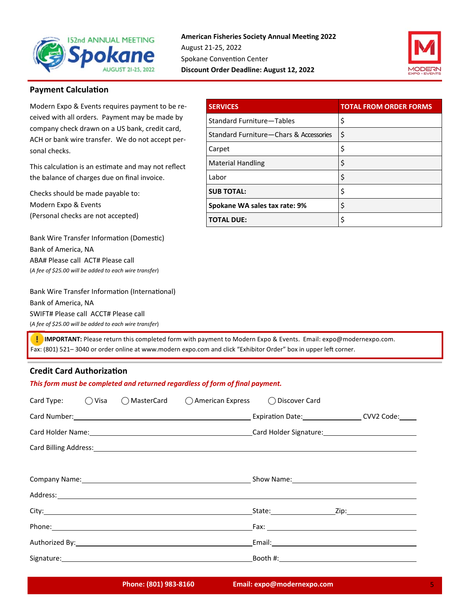



## **Payment Calculation**

Modern Expo & Events requires payment to be re‐ ceived with all orders. Payment may be made by company check drawn on a US bank, credit card, ACH or bank wire transfer. We do not accept per‐ sonal checks.

This calculation is an estimate and may not reflect the balance of charges due on final invoice.

Checks should be made payable to:

Modern Expo & Events (Personal checks are not accepted)

Bank Wire Transfer Information (Domestic) Bank of America, NA ABA# Please call ACT# Please call (*A fee of \$25.00 will be added to each wire transfer*)

Bank Wire Transfer Information (International) Bank of America, NA SWIFT# Please call ACCT# Please call

(*A fee of \$25.00 will be added to each wire transfer*)

**SERVICES** TOTAL FROM ORDER FORMS Standard Furniture—Tables | \$ Standard Furniture—Chars & Accessories \\$  $\zeta$  Carpet  $\zeta$ Material Handling **\$**  $\Box$ Labor  $\Box$ **SUB TOTAL:**  $\begin{bmatrix} \xi \end{bmatrix}$ **Spokane WA sales tax rate: 9%** | \$ **TOTAL DUE:** \$

 **IMPORTANT:** Please return this completed form with payment to Modern Expo & Events. Email: expo@modernexpo.com. Fax: (801) 521-3040 or order online at www.modern expo.com and click "Exhibitor Order" box in upper left corner.

## **Credit Card AuthorizaƟon**

| This form must be completed and returned regardless of form of final payment. |  |  |                                                                   |                                                                                                                                                                                                                                |                                                                                                                                                                                                                                |  |
|-------------------------------------------------------------------------------|--|--|-------------------------------------------------------------------|--------------------------------------------------------------------------------------------------------------------------------------------------------------------------------------------------------------------------------|--------------------------------------------------------------------------------------------------------------------------------------------------------------------------------------------------------------------------------|--|
|                                                                               |  |  | Card Type: ○ Visa ○ MasterCard ○ American Express ○ Discover Card |                                                                                                                                                                                                                                |                                                                                                                                                                                                                                |  |
|                                                                               |  |  |                                                                   |                                                                                                                                                                                                                                | Card Number: Carl Number: COVID Code: Carl Number: CVV2 Code: CVV2 Code:                                                                                                                                                       |  |
|                                                                               |  |  |                                                                   | Card Holder Name: 1990 Card Holder Signature: 1990 Card Holder Signature: 1990 Card Holder Signature: 1990 Card Holder Signature: 1990 Card Holder Signature: 1990 Card Holder Signature: 1990 Card Holder Signature: 1990 Car |                                                                                                                                                                                                                                |  |
|                                                                               |  |  |                                                                   | Card Billing Address: 1988 Card Billing Address: 1988 Card Billing Address: 1988 Card Billing Address:                                                                                                                         |                                                                                                                                                                                                                                |  |
|                                                                               |  |  |                                                                   |                                                                                                                                                                                                                                |                                                                                                                                                                                                                                |  |
|                                                                               |  |  |                                                                   |                                                                                                                                                                                                                                |                                                                                                                                                                                                                                |  |
|                                                                               |  |  |                                                                   |                                                                                                                                                                                                                                |                                                                                                                                                                                                                                |  |
|                                                                               |  |  |                                                                   |                                                                                                                                                                                                                                |                                                                                                                                                                                                                                |  |
|                                                                               |  |  |                                                                   |                                                                                                                                                                                                                                | Fax: The contract of the contract of the contract of the contract of the contract of the contract of the contract of the contract of the contract of the contract of the contract of the contract of the contract of the contr |  |
|                                                                               |  |  |                                                                   |                                                                                                                                                                                                                                |                                                                                                                                                                                                                                |  |
|                                                                               |  |  |                                                                   |                                                                                                                                                                                                                                |                                                                                                                                                                                                                                |  |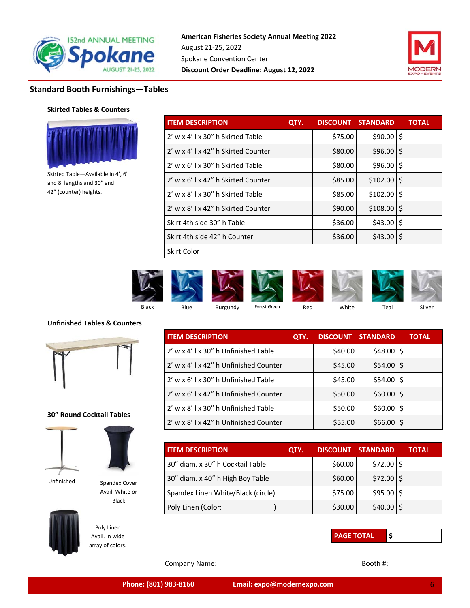



## **Standard Booth Furnishings—Tables**

## **Skirted Tables & Counters**



Skirted Table—Available in 4', 6' and 8' lengths and 30" and 42" (counter) heights.

| <b>ITEM DESCRIPTION</b>             | QTY. |         | <b>DISCOUNT STANDARD</b> | <b>TOTAL</b> |
|-------------------------------------|------|---------|--------------------------|--------------|
| 2' w x 4' l x 30" h Skirted Table   |      | \$75.00 | $$90.00$   \$            |              |
| 2' w x 4' l x 42" h Skirted Counter |      | \$80.00 | $$96.00$ $$$             |              |
| 2' w x 6' l x 30" h Skirted Table   |      | \$80.00 | $$96.00$ $$$             |              |
| 2' w x 6'   x 42" h Skirted Counter |      | \$85.00 | $$102.00$   \$           |              |
| 2' w x 8' l x 30" h Skirted Table   |      | \$85.00 | $$102.00$  \$            |              |
| 2' w x 8' l x 42" h Skirted Counter |      | \$90.00 | $$108.00$ S              |              |
| Skirt 4th side 30" h Table          |      | \$36.00 | $$43.00$ S               |              |
| Skirt 4th side 42" h Counter        |      | \$36.00 | $$43.00$ S               |              |
| Skirt Color                         |      |         |                          |              |



#### **Unfinished Tables & Counters**



#### **30" Round Cocktail Tables**





Avail. White or Black

Unfinished Spandex Cover



Poly Linen Avail. In wide array of colors.

| <b>ITEM DESCRIPTION</b>                | QTY. |         | <b>DISCOUNT STANDARD</b> | <b>TOTAL</b> |
|----------------------------------------|------|---------|--------------------------|--------------|
| 2' w x 4' l x 30" h Unfinished Table   |      | \$40.00 | $$48.00$   \$            |              |
| 2' w x 4' l x 42" h Unfinished Counter |      | \$45.00 | $$54.00$ $$$             |              |
| 2' w x 6' l x 30" h Unfinished Table   |      | \$45.00 | $$54.00$ $$$             |              |
| 2' w x 6' l x 42" h Unfinished Counter |      | \$50.00 | $$60.00$ \$              |              |
| 2' w x 8' l x 30" h Unfinished Table   |      | \$50.00 | $$60.00$   \$            |              |
| 2' w x 8' l x 42" h Unfinished Counter |      | \$55.00 | \$66.00                  |              |

| <b>ITEM DESCRIPTION</b>            | QTY. | <b>DISCOUNT</b> | <b>STANDARD</b> | TOTAL |
|------------------------------------|------|-----------------|-----------------|-------|
| 30" diam. x 30" h Cocktail Table   |      | \$60.00         | $$72.00$ $$$    |       |
| 30" diam. x 40" h High Boy Table   |      | \$60.00         | $$72.00$ $$$    |       |
| Spandex Linen White/Black (circle) |      | \$75.00         | $$95.00$ $$$    |       |
| Poly Linen (Color:                 |      | \$30.00         | $$40.00$   \$   |       |



Company Name: Booth #: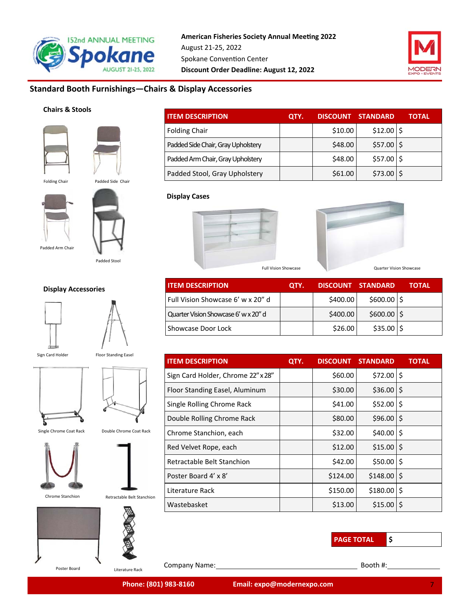



## **Standard Booth Furnishings—Chairs & Display Accessories**

## **Chairs & Stools**



| <b>Folding Chair</b> | Padded Side Chair |
|----------------------|-------------------|
| Padded Arm Chair     |                   |

Padded Stool

#### **Display Accessories**





Sign Card Holder

Floor Standing Easel





Single Chrome Coat Rack Double Chrome Coat Rack











| <b>ITEM DESCRIPTION</b>            | QTY. | <b>DISCOUNT</b> | <b>STANDARD</b> | <b>TOTAL</b> |
|------------------------------------|------|-----------------|-----------------|--------------|
| <b>Folding Chair</b>               |      | \$10.00         | $$12.00$   \$   |              |
| Padded Side Chair, Gray Upholstery |      | \$48.00         | $$57.00$ $$$    |              |
| Padded Arm Chair, Gray Upholstery  |      | \$48.00         | $$57.00$ $$$    |              |
| Padded Stool, Gray Upholstery      |      | \$61.00         | \$73.00         |              |

## **Display Cases**





| <b>I ITEM DESCRIPTION</b>            | QTY. |          | DISCOUNT STANDARD | ΤΟΤΑL |
|--------------------------------------|------|----------|-------------------|-------|
| l Full Vision Showcase 6' w x 20" d  |      | \$400.00 | $$600.00$ $$$     |       |
| Quarter Vision Showcase 6' w x 20" d |      | \$400.00 | $$600.00$ \$      |       |
| Showcase Door Lock                   |      | \$26.00  | $$35.00$ $$$      |       |

| <b>ITEM DESCRIPTION</b>            | QTY. | <b>DISCOUNT</b> | <b>STANDARD</b> | TOTAL |
|------------------------------------|------|-----------------|-----------------|-------|
| Sign Card Holder, Chrome 22" x 28" |      | \$60.00         | $$72.00$ $$$    |       |
| Floor Standing Easel, Aluminum     |      | \$30.00         | \$36.00         | l\$   |
| Single Rolling Chrome Rack         |      | \$41.00         | $$52.00$ $$$    |       |
| Double Rolling Chrome Rack         |      | \$80.00         | \$96.00         | l\$   |
| Chrome Stanchion, each             |      | \$32.00         | $$40.00$   \$   |       |
| Red Velvet Rope, each              |      | \$12.00         | $$15.00$   \$   |       |
| Retractable Belt Stanchion         |      | \$42.00         | \$50.00         | ۱\$   |
| Poster Board 4' x 8'               |      | \$124.00        | $$148.00$ $$$   |       |
| Literature Rack                    |      | \$150.00        | \$180.00        | \$    |
| Wastebasket                        |      | \$13.00         | \$15.00         | ۱S    |

**PAGE TOTAL \$** 

Literature Rack

Company Name: Booth #: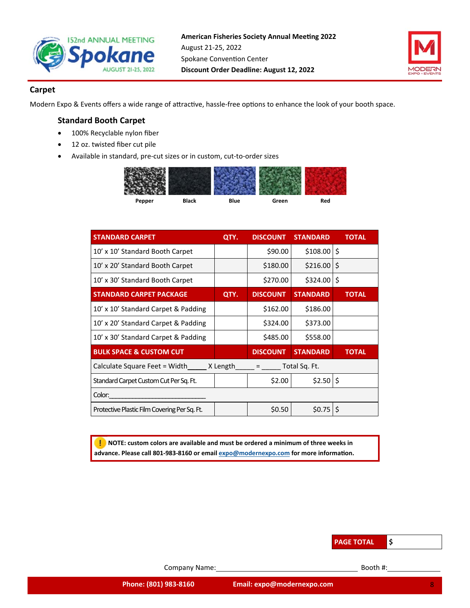



## **Carpet**

Modern Expo & Events offers a wide range of attractive, hassle-free options to enhance the look of your booth space.

## **Standard Booth Carpet**

- 100% Recyclable nylon fiber
- 12 oz. twisted fiber cut pile
- Available in standard, pre‐cut sizes or in custom, cut‐to‐order sizes

| Pepper | <b>Black</b> | <b>Blue</b> | Green | Red |
|--------|--------------|-------------|-------|-----|

| <b>STANDARD CARPET</b>                       | QTY. | <b>DISCOUNT</b>                       | <b>STANDARD</b> | <b>TOTAL</b> |
|----------------------------------------------|------|---------------------------------------|-----------------|--------------|
| 10' x 10' Standard Booth Carpet              |      | \$90.00                               | $$108.00$ $$$   |              |
| 10' x 20' Standard Booth Carpet              |      | \$180.00                              | \$216.00        | \$           |
| 10' x 30' Standard Booth Carpet              |      | \$270.00                              | \$324.00        | \$           |
| <b>STANDARD CARPET PACKAGE</b>               | QTY. | <b>DISCOUNT</b>                       | <b>STANDARD</b> | <b>TOTAL</b> |
| 10' x 10' Standard Carpet & Padding          |      | \$162.00                              | \$186.00        |              |
| 10' x 20' Standard Carpet & Padding          |      | \$324.00                              | \$373.00        |              |
| 10' x 30' Standard Carpet & Padding          |      | \$485.00                              | \$558.00        |              |
| <b>BULK SPACE &amp; CUSTOM CUT</b>           |      | <b>DISCOUNT</b>                       | <b>STANDARD</b> | <b>TOTAL</b> |
| Calculate Square Feet = Width X Length       |      | Total Sq. Ft.<br>and the state of the |                 |              |
| Standard Carpet Custom Cut Per Sq. Ft.       |      | \$2.00                                | $$2.50$ \$      |              |
| Color:                                       |      |                                       |                 |              |
| Protective Plastic Film Covering Per Sq. Ft. |      | \$0.50                                | $$0.75$ \$      |              |

 **NOTE: custom colors are available and must be ordered a minimum of three weeks in**  advance. Please call 801-983-8160 or email expo@modernexpo.com for more information.



Company Name: Booth #: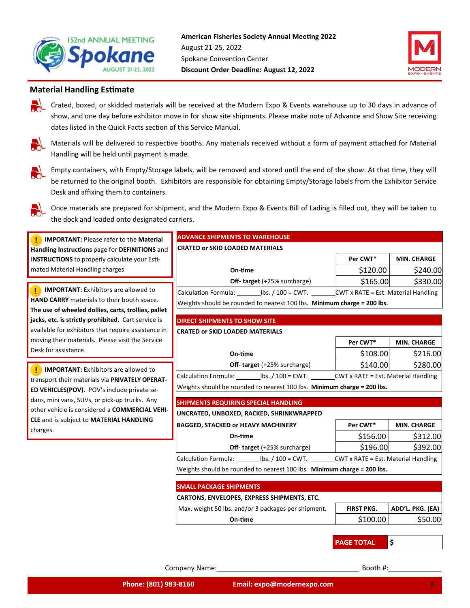



## **Material Handling Estimate**

Crated, boxed, or skidded materials will be received at the Modern Expo & Events warehouse up to 30 days in advance of show, and one day before exhibitor move in for show site shipments. Please make note of Advance and Show Site receiving dates listed in the Quick Facts section of this Service Manual.

Materials will be delivered to respective booths. Any materials received without a form of payment attached for Material Handling will be held until payment is made.



Empty containers, with Empty/Storage labels, will be removed and stored until the end of the show. At that time, they will be returned to the original booth. Exhibitors are responsible for obtaining Empty/Storage labels from the Exhibitor Service Desk and affixing them to containers.



Once materials are prepared for shipment, and the Modern Expo & Events Bill of Lading is filled out, they will be taken to the dock and loaded onto designated carriers.

| <b>IMPORTANT: Please refer to the Material</b>                                                          | <b>ADVANCE SHIPMENTS TO WAREHOUSE</b>                                                             |                   |                    |
|---------------------------------------------------------------------------------------------------------|---------------------------------------------------------------------------------------------------|-------------------|--------------------|
| Handling Instructions page for DEFINITIONS and                                                          | <b>CRATED or SKID LOADED MATERIALS</b>                                                            |                   |                    |
| INSTRUCTIONS to properly calculate your Esti-                                                           |                                                                                                   | Per CWT*          | <b>MIN. CHARGE</b> |
| mated Material Handling charges                                                                         | On-time                                                                                           | \$120.00          | \$240.00           |
|                                                                                                         | <b>Off- target</b> (+25% surcharge)                                                               | \$165.00          | \$330.00           |
| <b>IMPORTANT:</b> Exhibitors are allowed to                                                             | Calculation Formula: lbs. / 100 = CWT. CWT x RATE = Est. Material Handling                        |                   |                    |
| HAND CARRY materials to their booth space.                                                              | Weights should be rounded to nearest 100 lbs. Minimum charge = 200 lbs.                           |                   |                    |
| The use of wheeled dollies, carts, trollies, pallet                                                     |                                                                                                   |                   |                    |
| jacks, etc. is strictly prohibited. Cart service is                                                     | <b>DIRECT SHIPMENTS TO SHOW SITE</b>                                                              |                   |                    |
| available for exhibitors that require assistance in<br>moving their materials. Please visit the Service | <b>CRATED or SKID LOADED MATERIALS</b>                                                            |                   |                    |
| Desk for assistance.                                                                                    |                                                                                                   | Per CWT*          | <b>MIN. CHARGE</b> |
|                                                                                                         | On-time                                                                                           | \$108.00          | \$216.00           |
| <b>IMPORTANT:</b> Exhibitors are allowed to                                                             | <b>Off- target</b> (+25% surcharge)                                                               | \$140.00          | \$280.00           |
| transport their materials via PRIVATELY OPERAT-                                                         | Calculation Formula: ____________ lbs. / 100 = CWT. __________CWT x RATE = Est. Material Handling |                   |                    |
| ED VEHICLES(POV). POV's include private se-                                                             | Weights should be rounded to nearest 100 lbs. Minimum charge = 200 lbs.                           |                   |                    |
| dans, mini vans, SUVs, or pick-up trucks. Any                                                           | <b>SHIPMENTS REQUIRING SPECIAL HANDLING</b>                                                       |                   |                    |
| other vehicle is considered a COMMERCIAL VEHI-                                                          | UNCRATED, UNBOXED, RACKED, SHRINKWRAPPED                                                          |                   |                    |
| CLE and is subject to MATERIAL HANDLING                                                                 | <b>BAGGED, STACKED or HEAVY MACHINERY</b>                                                         | Per CWT*          | <b>MIN. CHARGE</b> |
| charges.                                                                                                | On-time                                                                                           | \$156.00          | \$312.00           |
|                                                                                                         | <b>Off- target</b> (+25% surcharge)                                                               | \$196.00          | \$392.00           |
|                                                                                                         | Calculation Formula: lbs. / 100 = CWT. CWT x RATE = Est. Material Handling                        |                   |                    |
|                                                                                                         | Weights should be rounded to nearest 100 lbs. Minimum charge = 200 lbs.                           |                   |                    |
|                                                                                                         |                                                                                                   |                   |                    |
|                                                                                                         | <b>SMALL PACKAGE SHIPMENTS</b>                                                                    |                   |                    |
|                                                                                                         | CARTONS, ENVELOPES, EXPRESS SHIPMENTS, ETC.                                                       |                   |                    |
|                                                                                                         | Max. weight 50 lbs. and/or 3 packages per shipment.                                               | <b>FIRST PKG.</b> | ADD'L. PKG. (EA)   |
|                                                                                                         | On-time                                                                                           | \$100.00          | \$50.00            |
|                                                                                                         |                                                                                                   |                   |                    |
|                                                                                                         |                                                                                                   | <b>PAGE TOTAL</b> | \$                 |

Company Name: Booth #: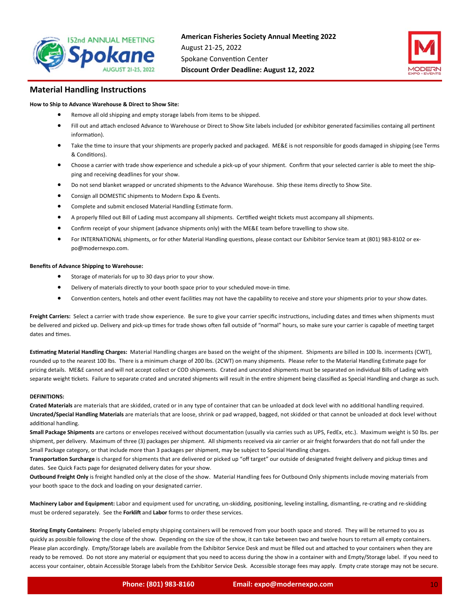



#### **Material Handling Instructions**

#### **How to Ship to Advance Warehouse & Direct to Show Site:**

- Remove all old shipping and empty storage labels from items to be shipped.
- Fill out and attach enclosed Advance to Warehouse or Direct to Show Site labels included (or exhibitor generated facsimilies containg all pertinent information).
- Take the time to insure that your shipments are properly packed and packaged. ME&E is not responsible for goods damaged in shipping (see Terms & CondiƟons).
- Choose a carrier with trade show experience and schedule a pick‐up of your shipment. Confirm that your selected carrier is able to meet the ship‐ ping and receiving deadlines for your show.
- Do not send blanket wrapped or uncrated shipments to the Advance Warehouse. Ship these items directly to Show Site.
- **•** Consign all DOMESTIC shipments to Modern Expo & Events.
- Complete and submit enclosed Material Handling Estimate form.
- A properly filled out Bill of Lading must accompany all shipments. Certified weight tickets must accompany all shipments.
- Confirm receipt of your shipment (advance shipments only) with the ME&E team before travelling to show site.
- For INTERNATIONAL shipments, or for other Material Handling questions, please contact our Exhibitor Service team at (801) 983-8102 or expo@modernexpo.com.

#### **Benefits of Advance Shipping to Warehouse:**

- Storage of materials for up to 30 days prior to your show.
- Delivery of materials directly to your booth space prior to your scheduled move-in time.
- Convention centers, hotels and other event facilities may not have the capability to receive and store your shipments prior to your show dates.

Freight Carriers: Select a carrier with trade show experience. Be sure to give your carrier specific instructions, including dates and times when shipments must be delivered and picked up. Delivery and pick-up times for trade shows often fall outside of "normal" hours, so make sure your carrier is capable of meeting target dates and times.

Estimating Material Handling Charges: Material Handling charges are based on the weight of the shipment. Shipments are billed in 100 lb. incerments (CWT), rounded up to the nearest 100 lbs. There is a minimum charge of 200 lbs. (2CWT) on many shipments. Please refer to the Material Handling Estimate page for pricing details. ME&E cannot and will not accept collect or COD shipments. Crated and uncrated shipments must be separated on individual Bills of Lading with separate weight tickets. Failure to separate crated and uncrated shipments will result in the entire shipment being classified as Special Handling and charge as such.

#### **DEFINITIONS:**

Crated Materials are materials that are skidded, crated or in any type of container that can be unloaded at dock level with no additional handling required. **Uncrated/Special Handling Materials** are materials that are loose, shrink or pad wrapped, bagged, not skidded or that cannot be unloaded at dock level without additional handling.

Small Package Shipments are cartons or envelopes received without documentation (usually via carries such as UPS, FedEx, etc.). Maximum weight is 50 lbs. per shipment, per delivery. Maximum of three (3) packages per shipment. All shipments received via air carrier or air freight forwarders that do not fall under the Small Package category, or that include more than 3 packages per shipment, may be subject to Special Handling charges.

Transportation Surcharge is charged for shipments that are delivered or picked up "off target" our outside of designated freight delivery and pickup times and dates. See Quick Facts page for designated delivery dates for your show.

**Outbound Freight Only** is freight handled only at the close of the show. Material Handling fees for Outbound Only shipments include moving materials from your booth space to the dock and loading on your designated carrier.

Machinery Labor and Equipment: Labor and equipment used for uncrating, un-skidding, positioning, leveling installing, dismantling, re-crating and re-skidding must be ordered separately. See the Forklift and Labor forms to order these services.

**Storing Empty Containers:** Properly labeled empty shipping containers will be removed from your booth space and stored. They will be returned to you as quickly as possible following the close of the show. Depending on the size of the show, it can take between two and twelve hours to return all empty containers. Please plan accordingly. Empty/Storage labels are available from the Exhibitor Service Desk and must be filled out and attached to your containers when they are ready to be removed. Do not store any material or equipment that you need to access during the show in a container with and Empty/Storage label. If you need to access your container, obtain Accessible Storage labels from the Exhibitor Service Desk. Accessible storage fees may apply. Empty crate storage may not be secure.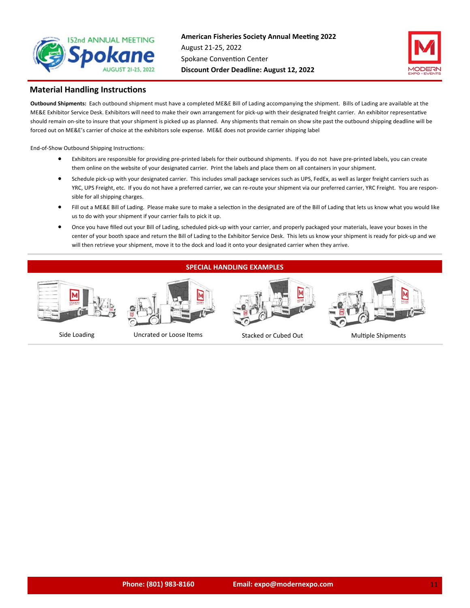



#### **Material Handling Instructions**

**Outbound Shipments:**  Each outbound shipment must have a completed ME&E Bill of Lading accompanying the shipment. Bills of Lading are available at the ME&E Exhibitor Service Desk. Exhibitors will need to make their own arrangement for pick-up with their designated freight carrier. An exhibitor representative should remain on-site to insure that your shipment is picked up as planned. Any shipments that remain on show site past the outbound shipping deadline will be forced out on ME&E's carrier of choice at the exhibitors sole expense. ME&E does not provide carrier shipping label

End-of-Show Outbound Shipping Instructions:

- Exhibitors are responsible for providing pre-printed labels for their outbound shipments. If you do not have pre-printed labels, you can create them online on the website of your designated carrier. Print the labels and place them on all containers in your shipment.
- Schedule pick‐up with your designated carrier. This includes small package services such as UPS, FedEx, as well as larger freight carriers such as YRC, UPS Freight, etc. If you do not have a preferred carrier, we can re-route your shipment via our preferred carrier, YRC Freight. You are responsible for all shipping charges.
- Fill out a ME&E Bill of Lading. Please make sure to make a selection in the designated are of the Bill of Lading that lets us know what you would like us to do with your shipment if your carrier fails to pick it up.
- Once you have filled out your Bill of Lading, scheduled pick‐up with your carrier, and properly packaged your materials, leave your boxes in the center of your booth space and return the Bill of Lading to the Exhibitor Service Desk. This lets us know your shipment is ready for pick‐up and we will then retrieve your shipment, move it to the dock and load it onto your designated carrier when they arrive.

#### **SPECIAL HANDLING EXAMPLES**







Side Loading Uncrated or Loose Items Stacked or Cubed Out MulƟple Shipments



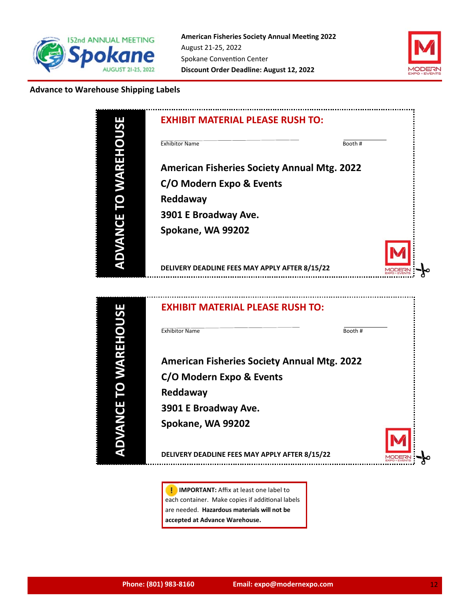



## **Advance to Warehouse Shipping Labels**



**I** IMPORTANT: Affix at least one label to each container. Make copies if additional labels are needed. **Hazardous materials will not be accepted at Advance Warehouse.**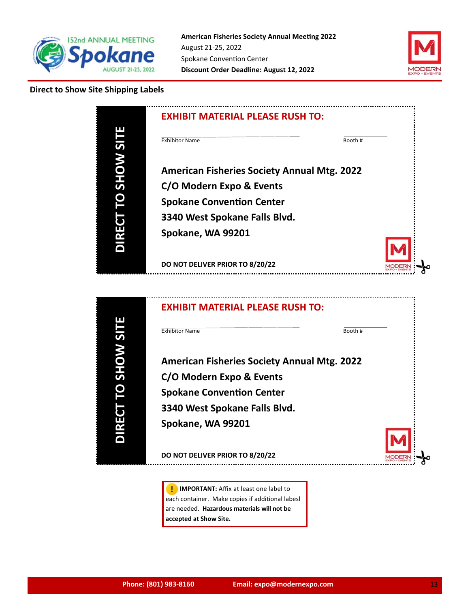



## **Direct to Show Site Shipping Labels**





**I** IMPORTANT: Affix at least one label to each container. Make copies if additional labesl are needed. **Hazardous materials will not be accepted at Show Site.**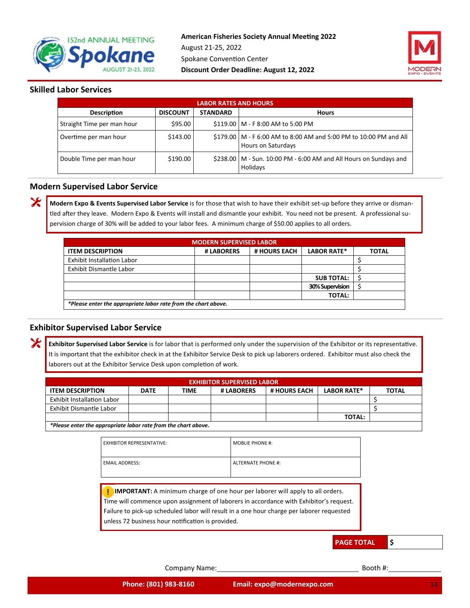



## **Skilled Labor Services**

X

Х

|                            | <b>LABOR RATES AND HOURS</b> |                 |                                                                                           |  |  |  |  |
|----------------------------|------------------------------|-----------------|-------------------------------------------------------------------------------------------|--|--|--|--|
| <b>Description</b>         | <b>DISCOUNT</b>              | <b>STANDARD</b> | <b>Hours</b>                                                                              |  |  |  |  |
| Straight Time per man hour | \$95.00                      |                 | \$119.00   M - F 8:00 AM to 5:00 PM                                                       |  |  |  |  |
| Overtime per man hour      | \$143.00                     |                 | \$179.00   M - F 6:00 AM to 8:00 AM and 5:00 PM to 10:00 PM and All<br>Hours on Saturdays |  |  |  |  |
| Double Time per man hour   | \$190.00                     |                 | \$238.00   M - Sun. 10:00 PM - 6:00 AM and All Hours on Sundays and<br>Holidays           |  |  |  |  |

#### **Modern Supervised Labor Service**

**Modern Expo & Events Supervised Labor Service** is for those that wish to have their exhibit set‐up before they arrive or disman‐ tled after they leave. Modern Expo & Events will install and dismantle your exhibit. You need not be present. A professional supervision charge of 30% will be added to your labor fees. A minimum charge of \$50.00 applies to all orders.

| <b>MODERN SUPERVISED LABOR</b>                                 |            |              |                    |              |  |
|----------------------------------------------------------------|------------|--------------|--------------------|--------------|--|
| <b>ITEM DESCRIPTION</b>                                        | # LABORERS | # HOURS EACH | <b>LABOR RATE*</b> | <b>TOTAL</b> |  |
| Exhibit Installation Labor                                     |            |              |                    |              |  |
| Exhibit Dismantle Labor                                        |            |              |                    |              |  |
|                                                                |            |              | <b>SUB TOTAL:</b>  |              |  |
|                                                                |            |              | 30% Supervision    |              |  |
|                                                                |            |              | <b>TOTAL:</b>      |              |  |
| *Please enter the appropriate labor rate from the chart above. |            |              |                    |              |  |

## **Exhibitor Supervised Labor Service**

Exhibitor Supervised Labor Service is for labor that is performed only under the supervision of the Exhibitor or its representative. It is important that the exhibitor check in at the Exhibitor Service Desk to pick up laborers ordered. Exhibitor must also check the laborers out at the Exhibitor Service Desk upon completion of work.

| <b>EXHIBITOR SUPERVISED LABOR</b>                                                                                                |  |  |  |  |  |  |  |  |
|----------------------------------------------------------------------------------------------------------------------------------|--|--|--|--|--|--|--|--|
| <b>LABOR RATE*</b><br><b># HOURS EACH</b><br><b>ITEM DESCRIPTION</b><br># LABORERS<br><b>TOTAL</b><br><b>TIME</b><br><b>DATE</b> |  |  |  |  |  |  |  |  |
| <b>Exhibit Installation Labor</b>                                                                                                |  |  |  |  |  |  |  |  |
| Exhibit Dismantle Labor                                                                                                          |  |  |  |  |  |  |  |  |
| <b>TOTAL:</b>                                                                                                                    |  |  |  |  |  |  |  |  |
| *Please enter the appropriate labor rate from the chart above.                                                                   |  |  |  |  |  |  |  |  |

| <b>EXHIBITOR REPRESENTATIVE:</b> | <b>MOBLIE PHONE #:</b>    |
|----------------------------------|---------------------------|
| <b>EMAIL ADDRESS:</b>            | <b>ALTERNATE PHONE #:</b> |

**I** IMPORTANT: A minimum charge of one hour per laborer will apply to all orders. Time will commence upon assignment of laborers in accordance with Exhibitor's request. Failure to pick‐up scheduled labor will result in a one hour charge per laborer requested unless 72 business hour notification is provided.

**PAGE TOTAL \$** 

Company Name: Booth #: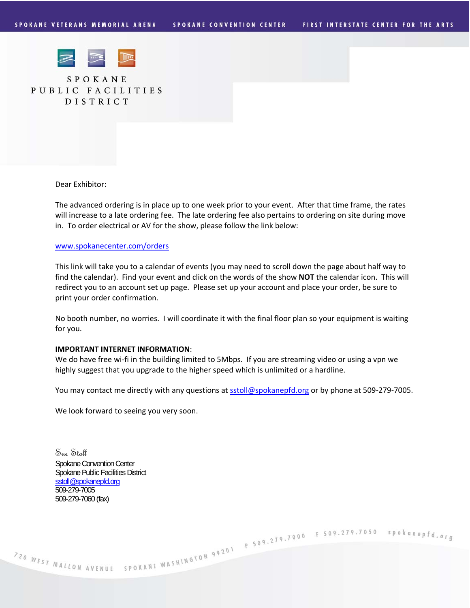

SPOKANE PUBLIC FACILITIES DISTRICT

Dear Exhibitor:

The advanced ordering is in place up to one week prior to your event. After that time frame, the rates will increase to a late ordering fee. The late ordering fee also pertains to ordering on site during move in. To order electrical or AV for the show, please follow the link below:

#### www.spokanecenter.com/orders

This link will take you to a calendar of events (you may need to scroll down the page about half way to find the calendar). Find your event and click on the words of the show **NOT** the calendar icon. This will redirect you to an account set up page. Please set up your account and place your order, be sure to print your order confirmation.

No booth number, no worries. I will coordinate it with the final floor plan so your equipment is waiting for you.

#### **IMPORTANT INTERNET INFORMATION**:

We do have free wi-fi in the building limited to 5Mbps. If you are streaming video or using a vpn we highly suggest that you upgrade to the higher speed which is unlimited or a hardline.

You may contact me directly with any questions at sstoll@spokanepfd.org or by phone at 509-279-7005.

We look forward to seeing you very soon.

Sue Stoll Spokane Convention Center Spokane Public Facilities District sstoll@spokanepfd.org 509-279-7005 509-279-7060 (fax)

720 WEST MALLON AVENUE SPOKANE WASHINGTON 99201 P 509.279.7000 F 509.279.7050 spokanepfd.org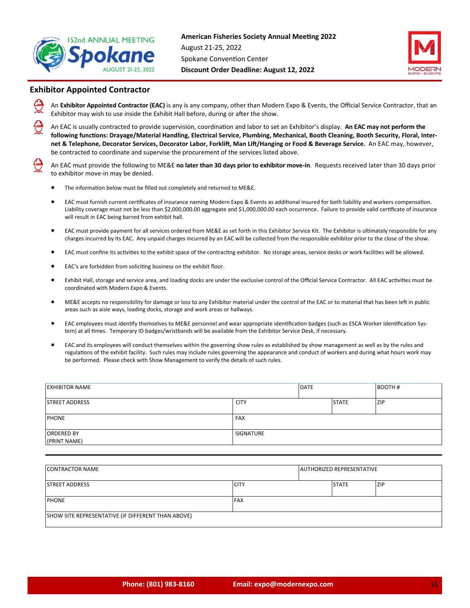



## **Exhibitor Appointed Contractor**

An **Exhibitor Appointed Contractor (EAC)** is any is any company, other than Modern Expo & Events, the Official Service Contractor, that an Exhibitor may wish to use inside the Exhibit Hall before, during or after the show.

An EAC is usually contracted to provide supervision, coordination and labor to set an Exhibitor's display. An EAC may not perform the following functions: Drayage/Material Handling, Electrical Service, Plumbing, Mechanical, Booth Cleaning, Booth Security, Floral, Internet & Telephone, Decorator Services, Decorator Labor, Forklift, Man Lift/Hanging or Food & Beverage Service. An EAC may, however, be contracted to coordinate and supervise the procurement of the services listed above.

An EAC must provide the following to ME&E **no later than 30 days prior to exhibitor move‐in**. Requests received later than 30 days prior to exhibitor move‐in may be denied.

- The information below must be filled out completely and returned to ME&E.
- EAC must furnish current certificates of insurance naming Modern Expo & Events as additional insured for both liability and workers compensation. Liability coverage must not be less than \$2,000,000.00 aggregate and \$1,000,000.00 each occurrence. Failure to provide valid certificate of insurance will result in EAC being barred from exhibit hall.
- EAC must provide payment for all services ordered from ME&E as set forth in this Exhibitor Service Kit. The Exhibitor is ultimately responsible for any charges incurred by its EAC. Any unpaid charges incurred by an EAC will be collected from the responsible exhibitor prior to the close of the show.
- EAC must confine its activities to the exhibit space of the contracting exhibitor. No storage areas, service desks or work facilities will be allowed.
- EAC's are forbidden from soliciting business on the exhibit floor.
- Exhibit Hall, storage and service area, and loading docks are under the exclusive control of the Official Service Contractor. All EAC activities must be coordinated with Modern Expo & Events.
- ME&E accepts no responsibility for damage or loss to any Exhibitor material under the control of the EAC or to material that has been left in public areas such as aisle ways, loading docks, storage and work areas or hallways.
- EAC employees must identify themselves to ME&E personnel and wear appropriate identification badges (such as ESCA Worker Identification System) at all times. Temporary ID badges/wristbands will be available from the Exhibitor Service Desk, if necessary.
- EAC and its employees will conduct themselves within the governing show rules as established by show management as well as by the rules and regulations of the exhibit facility. Such rules may include rules governing the appearance and conduct of workers and during what hours work may be performed. Please check with Show Management to verify the details of such rules.

| <b>EXHIBITOR NAME</b>             |             | DATE |              | <b>BOOTH#</b> |
|-----------------------------------|-------------|------|--------------|---------------|
| <b>STREET ADDRESS</b>             | <b>CITY</b> |      | <b>STATE</b> | <b>ZIP</b>    |
| <b>PHONE</b>                      | <b>FAX</b>  |      |              |               |
| <b>ORDERED BY</b><br>(PRINT NAME) | SIGNATURE   |      |              |               |

| <b>CONTRACTOR NAME</b>                             |             | <b>AUTHORIZED REPRESENTATIVE</b> |            |
|----------------------------------------------------|-------------|----------------------------------|------------|
| <b>ISTREET ADDRESS</b>                             | <b>CITY</b> | <b>STATE</b>                     | <b>ZIP</b> |
| <b>PHONE</b>                                       | <b>FAX</b>  |                                  |            |
| SHOW SITE REPRESENTATIVE (IF DIFFERENT THAN ABOVE) |             |                                  |            |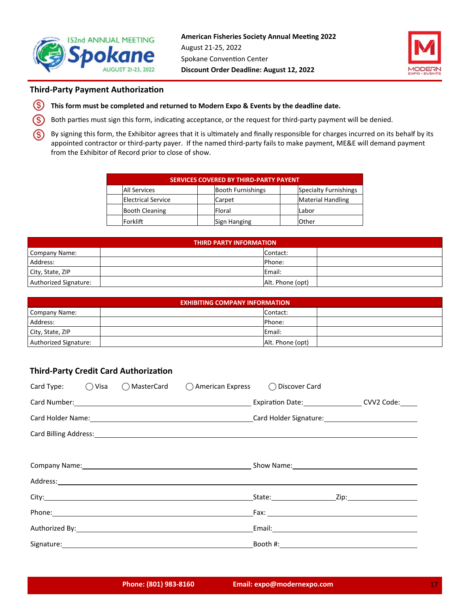



## **Third-Party Payment Authorization**

- $\circleds$ **This form must be completed and returned to Modern Expo & Events by the deadline date.**
- (S Both parties must sign this form, indicating acceptance, or the request for third-party payment will be denied.

(S) By signing this form, the Exhibitor agrees that it is ultimately and finally responsible for charges incurred on its behalf by its appointed contractor or third-party payer. If the named third-party fails to make payment, ME&E will demand payment from the Exhibitor of Record prior to close of show.

| <b>SERVICES COVERED BY THIRD-PARTY PAYENT</b> |                           |  |                          |  |                              |  |
|-----------------------------------------------|---------------------------|--|--------------------------|--|------------------------------|--|
|                                               | All Services              |  | <b>Booth Furnishings</b> |  | <b>Specialty Furnishings</b> |  |
|                                               | <b>Electrical Service</b> |  | Carpet                   |  | <b>Material Handling</b>     |  |
|                                               | <b>Booth Cleaning</b>     |  | Floral                   |  | Labor                        |  |
|                                               | Forklift                  |  | Sign Hanging             |  | Other                        |  |

| <b>THIRD PARTY INFORMATION</b> |  |                  |  |  |  |
|--------------------------------|--|------------------|--|--|--|
| Company Name:                  |  | Contact:         |  |  |  |
| Address:                       |  | Phone:           |  |  |  |
| City, State, ZIP               |  | Email:           |  |  |  |
| Authorized Signature:          |  | Alt. Phone (opt) |  |  |  |

| <b>EXHIBITING COMPANY INFORMATION</b> |  |                  |  |  |  |
|---------------------------------------|--|------------------|--|--|--|
| Company Name:                         |  | Contact:         |  |  |  |
| Address:                              |  | Phone:           |  |  |  |
| City, State, ZIP                      |  | Email:           |  |  |  |
| Authorized Signature:                 |  | Alt. Phone (opt) |  |  |  |

## **Third-Party Credit Card Authorization**

| Card Type: $\bigcirc$ Visa |                               | ○ MasterCard ○ American Express ○ Discover Card |                                                                                                                |                                                                                                                                                                                                                                |  |  |
|----------------------------|-------------------------------|-------------------------------------------------|----------------------------------------------------------------------------------------------------------------|--------------------------------------------------------------------------------------------------------------------------------------------------------------------------------------------------------------------------------|--|--|
|                            |                               |                                                 |                                                                                                                | Expiration Date: CVV2 Code:                                                                                                                                                                                                    |  |  |
|                            |                               |                                                 |                                                                                                                | Card Holder Name: 1990 Card Holder Signature: 1990 Card Holder Signature: 1990 Card Holder Signature: 1990 Card Holder Signature: 1990 Card Holder Signature: 1990 Card Holder Signature: 1990 Card Holder Signature: 1990 Car |  |  |
|                            |                               |                                                 |                                                                                                                |                                                                                                                                                                                                                                |  |  |
|                            |                               |                                                 |                                                                                                                |                                                                                                                                                                                                                                |  |  |
|                            |                               |                                                 | Company Name: Company Name: Company Name: Company Name: Company Name: Company Name: Company Name: Company Name |                                                                                                                                                                                                                                |  |  |
|                            |                               |                                                 |                                                                                                                |                                                                                                                                                                                                                                |  |  |
|                            |                               |                                                 |                                                                                                                |                                                                                                                                                                                                                                |  |  |
|                            |                               |                                                 |                                                                                                                |                                                                                                                                                                                                                                |  |  |
|                            | Authorized By: Authorized By: |                                                 |                                                                                                                |                                                                                                                                                                                                                                |  |  |
|                            |                               |                                                 |                                                                                                                |                                                                                                                                                                                                                                |  |  |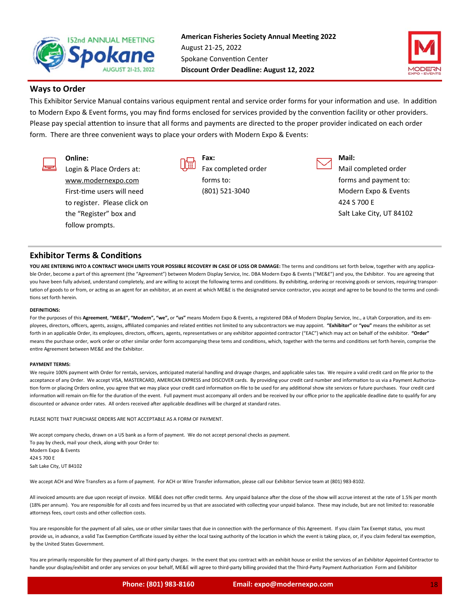



## **Ways to Order**

This Exhibitor Service Manual contains various equipment rental and service order forms for your information and use. In addition to Modern Expo & Event forms, you may find forms enclosed for services provided by the convention facility or other providers. Please pay special attention to insure that all forms and payments are directed to the proper provider indicated on each order form. There are three convenient ways to place your orders with Modern Expo & Events:

## **Online:**

Login & Place Orders at: www.modernexpo.com First-time users will need to register. Please click on the "Register" box and follow prompts.



**Fax:**  Fax completed order forms to: (801) 521‐3040



**Mail:** 

Mail completed order forms and payment to: Modern Expo & Events 424 S 700 E Salt Lake City, UT 84102

## **Exhibitor Terms & Conditions**

YOU ARE ENTERING INTO A CONTRACT WHICH LIMITS YOUR POSSIBLE RECOVERY IN CASE OF LOSS OR DAMAGE: The terms and conditions set forth below, together with any applicable Order, become a part of this agreement (the "Agreement") between Modern Display Service, Inc. DBA Modern Expo & Events ("ME&E") and you, the Exhibitor. You are agreeing that you have been fully advised, understand completely, and are willing to accept the following terms and conditions. By exhibiting, ordering or receiving goods or services, requiring transportation of goods to or from, or acting as an agent for an exhibitor, at an event at which ME&E is the designated service contractor, you accept and agree to be bound to the terms and conditions set forth herein.

#### **DEFINITIONS:**

For the purposes of this Agreement, "ME&E", "Modern", "we", or "us" means Modern Expo & Events, a registered DBA of Modern Display Service, Inc., a Utah Corporation, and its employees, directors, officers, agents, assigns, affiliated companies and related entities not limited to any subcontractors we may appoint. "Exhibitor" or "you" means the exhibitor as set forth in an applicable Order, its employees, directors, officers, agents, representatives or any exhibitor appointed contractor ("EAC") which may act on behalf of the exhibitor. "Order" means the purchase order, work order or other similar order form accompanying these tems and conditions, which, together with the terms and conditions set forth herein, comprise the entire Agreement between ME&E and the Exhibitor.

#### **PAYMENT TERMS:**

We require 100% payment with Order for rentals, services, anticipated material handling and drayage charges, and applicable sales tax. We require a valid credit card on file prior to the acceptance of any Order. We accept VISA, MASTERCARD, AMERICAN EXPRESS and DISCOVER cards. By providing your credit card number and information to us via a Payment Authorization form or placing Orders online, you agree that we may place your credit card information on-file to be used for any additional show site services or future purchases. Your credit card information will remain on-file for the duration of the event. Full payment must accompany all orders and be received by our office prior to the applicable deadline date to qualify for any discounted or advance order rates. All orders received after applicable deadlines will be charged at standard rates.

PLEASE NOTE THAT PURCHASE ORDERS ARE NOT ACCEPTABLE AS A FORM OF PAYMENT.

We accept company checks, drawn on a US bank as a form of payment. We do not accept personal checks as payment. To pay by check, mail your check, along with your Order to: Modern Expo & Events 424 S 700 E Salt Lake City, UT 84102

We accept ACH and Wire Transfers as a form of payment. For ACH or Wire Transfer information, please call our Exhibitor Service team at (801) 983-8102.

All invoiced amounts are due upon receipt of invoice. ME&E does not offer credit terms. Any unpaid balance after the close of the show will accrue interest at the rate of 1.5% per month (18% per annum). You are responsible for all costs and fees incurred by us that are associated with collecting your unpaid balance. These may include, but are not limited to: reasonable attorneys fees, court costs and other collection costs.

You are responsible for the payment of all sales, use or other similar taxes that due in connection with the performance of this Agreement. If you claim Tax Exempt status, you must provide us, in advance, a valid Tax Exemption Certificate issued by either the local taxing authority of the location in which the event is taking place, or, if you claim federal tax exemption, by the United States Government.

You are primarily responsible for they payment of all third-party charges. In the event that you contract with an exhibit house or enlist the services of an Exhibitor Appointed Contractor to handle your display/exhibit and order any services on your behalf, ME&E will agree to third-party billing provided that the Third-Party Payment Authorization Form and Exhibitor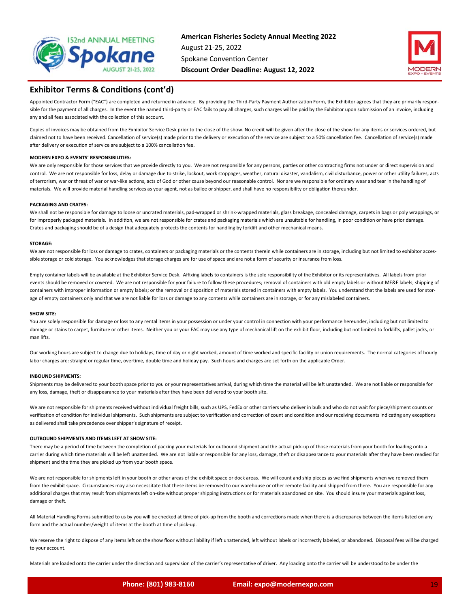



### **Exhibitor Terms & Conditions (cont'd)**

Appointed Contractor Form ("EAC") are completed and returned in advance. By providing the Third-Party Payment Authorization Form, the Exhibitor agrees that they are primarily responsible for the payment of all charges. In the event the named third-party or EAC fails to pay all charges, such charges will be paid by the Exhibitor upon submission of an invoice, including any and all fees associated with the collection of this account.

Copies of invoices may be obtained from the Exhibitor Service Desk prior to the close of the show. No credit will be given after the close of the show for any items or services ordered, but claimed not to have been received. Cancellation of service(s) made prior to the delivery or execution of the service are subject to a 50% cancellation fee. Cancellation of service(s) made after delivery or execution of service are subject to a 100% cancellation fee.

#### **MODERN EXPO & EVENTS' RESPONSIBILITIES:**

We are only responsible for those services that we provide directly to you. We are not responsible for any persons, parties or other contracting firms not under or direct supervision and control. We are not responsible for loss, delay or damage due to strike, lockout, work stoppages, weather, natural disaster, vandalism, civil disturbance, power or other utility failures, acts of terrorism, war or threat of war or war-like actions, acts of God or other cause beyond our reasonable control. Nor are we responsible for ordinary wear and tear in the handling of materials. We will provide material handling services as your agent, not as bailee or shipper, and shall have no responsibility or obligation thereunder.

#### **PACKAGING AND CRATES:**

We shall not be responsible for damage to loose or uncrated materials, pad‐wrapped or shrink‐wrapped materials, glass breakage, concealed damage, carpets in bags or poly wrappings, or for improperly packaged materials. In addition, we are not responsible for crates and packaging materials which are unsuitable for handling, in poor condition or have prior damage. Crates and packaging should be of a design that adequately protects the contents for handling by forklift and other mechanical means.

#### **STORAGE:**

We are not responsible for loss or damage to crates, containers or packaging materials or the contents therein while containers are in storage, including but not limited to exhibitor accessible storage or cold storage. You acknowledges that storage charges are for use of space and are not a form of security or insurance from loss.

Empty container labels will be available at the Exhibitor Service Desk. Affixing labels to containers is the sole responsibility of the Exhibitor or its representatives. All labels from prior events should be removed or covered. We are not responsible for your failure to follow these procedures; removal of containers with old empty labels or without ME&E labels; shipping of containers with improper information or empty labels; or the removal or disposition of materials stored in containers with empty labels. You understand that the labels are used for storage of empty containers only and that we are not liable for loss or damage to any contents while containers are in storage, or for any mislabeled containers.

#### **SHOW SITE:**

You are solely responsible for damage or loss to any rental items in your possession or under your control in connection with your performance hereunder, including but not limited to damage or stains to carpet, furniture or other items. Neither you or your EAC may use any type of mechanical lift on the exhibit floor, including but not limited to forklifts, pallet jacks, or man lifts.

Our working hours are subject to change due to holidays, time of day or night worked, amount of time worked and specific facility or union requirements. The normal categories of hourly labor charges are: straight or regular time, overtime, double time and holiday pay. Such hours and charges are set forth on the applicable Order.

#### **INBOUND SHIPMENTS:**

Shipments may be delivered to your booth space prior to you or your representatives arrival, during which time the material will be left unattended. We are not liable or responsible for any loss, damage, theft or disappearance to your materials after they have been delivered to your booth site.

We are not responsible for shipments received without individual freight bills, such as UPS, FedEx or other carriers who deliver in bulk and who do not wait for piece/shipment counts or verification of condition for individual shipments. Such shipments are subject to verification and correction of count and condition and our receiving documents indicating any exceptions as delivered shall take precedence over shipper's signature of receipt.

#### **OUTBOUND SHIPMENTS AND ITEMS LEFT AT SHOW SITE:**

There may be a period of time between the completion of packing your materials for outbound shipment and the actual pick-up of those materials from your booth for loading onto a carrier during which time materials will be left unattended. We are not liable or responsible for any loss, damage, theft or disappearance to your materials after they have been readied for shipment and the time they are picked up from your booth space.

We are not responsible for shipments left in your booth or other areas of the exhibit space or dock areas. We will count and ship pieces as we find shipments when we removed them from the exhibit space. Circumstances may also necessitate that these items be removed to our warehouse or other remote facility and shipped from there. You are responsible for any additional charges that may result from shipments left on-site without proper shipping instructions or for materials abandoned on site. You should insure your materials against loss, damage or theft.

All Material Handling Forms submitted to us by you will be checked at time of pick‐up from the booth and corrections made when there is a discrepancy between the items listed on any form and the actual number/weight of items at the booth at time of pick-up.

We reserve the right to dispose of any items left on the show floor without liability if left unattended, left without labels or incorrectly labeled, or abandoned. Disposal fees will be charged to your account.

Materials are loaded onto the carrier under the direction and supervision of the carrier's representative of driver. Any loading onto the carrier will be understood to be under the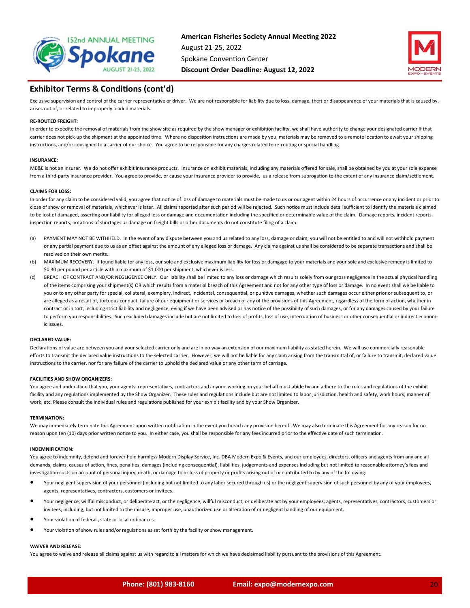



## **Exhibitor Terms & Conditions (cont'd)**

Exclusive supervision and control of the carrier representative or driver. We are not responsible for liability due to loss, damage, theft or disappearance of your materials that is caused by, arises out of, or related to improperly loaded materials.

#### **RE‐ROUTED FREIGHT:**

In order to expedite the removal of materials from the show site as required by the show manager or exhibition facility, we shall have authority to change your designated carrier if that carrier does not pick-up the shipment at the appointed time. Where no disposition instructions are made by you, materials may be removed to a remote location to await your shipping instructions, and/or consigned to a carrier of our choice. You agree to be responsible for any charges related to re-routing or special handling.

#### **INSURANCE:**

ME&E is not an insurer. We do not offer exhibit insurance products. Insurance on exhibit materials, including any materials offered for sale, shall be obtained by you at your sole expense from a third-party insurance provider. You agree to provide, or cause your insurance provider to provide, us a release from subrogation to the extent of any insurance claim/settlement.

#### **CLAIMS FOR LOSS:**

In order for any claim to be considered valid, you agree that notice of loss of damage to materials must be made to us or our agent within 24 hours of occurrence or any incident or prior to close of show or removal of materials, whichever is later. All claims reported after such period will be rejected. Such notice must include detail sufficient to identify the materials claimed to be lost of damaged, asserting our liability for alleged loss or damage and documentation including the specified or determinable value of the claim. Damage reports, incident reports, inspection reports, notations of shortages or damage on freight bills or other documents do not constitute filing of a claim.

- (a) PAYMENT MAY NOT BE WITHHELD. In the event of any dispute between you and us related to any loss, damage or claim, you will not be entitled to and will not withhold payment or any partial payment due to us as an offset against the amount of any alleged loss or damage. Any claims against us shall be considered to be separate transactions and shall be resolved on their own merits.
- (b) MAXIMUM RECOVERY. If found liable for any loss, our sole and exclusive maximum liability for loss or damgage to your materials and your sole and exclusive remedy is limited to \$0.30 per pound per article with a maximum of \$1,000 per shipment, whichever is less.
- (c) BREACH OF CONTRACT AND/OR NEGLIGENCE ONLY. Our liability shall be limited to any loss or damage which results solely from our gross negligence in the actual physical handling of the items comprising your shipment(s) OR which results from a material breach of this Agreement and not for any other type of loss or damage. In no event shall we be liable to you or to any other party for special, collateral, exemplary, indirect, incidental, consequential, or punitive damages, whether such damages occur either prior or subsequent to, or are alleged as a result of, tortuous conduct, failure of our equipment or services or breach of any of the provisions of this Agreement, regardless of the form of action, whether in contract or in tort, including strict liability and negligence, eving if we have been advised or has notice of the possibility of such damages, or for any damages caused by your failure to perform you responsibilities. Such excluded damages include but are not limited to loss of profits, loss of use, interruption of business or other consequential or indirect economic issues.

#### **DECLARED VALUE:**

Declarations of value are between you and your selected carrier only and are in no way an extension of our maximum liability as stated herein. We will use commercially reasonable efforts to transmit the declared value instructions to the selected carrier. However, we will not be liable for any claim arising from the transmittal of, or failure to transmit, declared value instructions to the carrier, nor for any failure of the carrier to uphold the declared value or any other term of carriage.

#### **FACILITIES AND SHOW ORGANIZERS:**

You agree and understand that you, your agents, representatives, contractors and anyone working on your behalf must abide by and adhere to the rules and regulations of the exhibit facility and any regulations implemented by the Show Organizer. These rules and regulations include but are not limited to labor jurisdiction, health and safety, work hours, manner of work, etc. Please consult the individual rules and regulations published for your exhibit facility and by your Show Organizer.

#### **TERMINATION:**

We may immediately terminate this Agreement upon written notification in the event you breach any provision hereof. We may also terminate this Agreement for any reason for no reason upon ten (10) days prior written notice to you. In either case, you shall be responsible for any fees incurred prior to the effective date of such termination.

#### **INDEMNIFICATION:**

You agree to indemnify, defend and forever hold harmless Modern Display Service, Inc. DBA Modern Expo & Events, and our employees, directors, officers and agents from any and all demands, claims, causes of action, fines, penalties, damages (including consequential), liabilities, judgements and expenses including but not limited to reasonable attorney's fees and investigation costs on account of personal injury, death, or damage to or loss of property or profits arising out of or contributed to by any of the following:

- Your negligent supervision of your personnel (including but not limited to any labor secured through us) or the negligent supervision of such personnel by any of your employees, agents, representatives, contractors, customers or invitees.
- Your negligence, willful misconduct, or deliberate act, or the negligence, willful misconduct, or deliberate act by your employees, agents, representatives, contractors, customers or invitees, including, but not limited to the misuse, improper use, unauthorized use or alteration of or negligent handling of our equipment.
- Your violation of federal , state or local ordinances.
- Your violation of show rules and/or regulations as set forth by the facility or show management.

#### **WAIVER AND RELEASE:**

You agree to waive and release all claims against us with regard to all matters for which we have declaimed liability pursuant to the provisions of this Agreement.